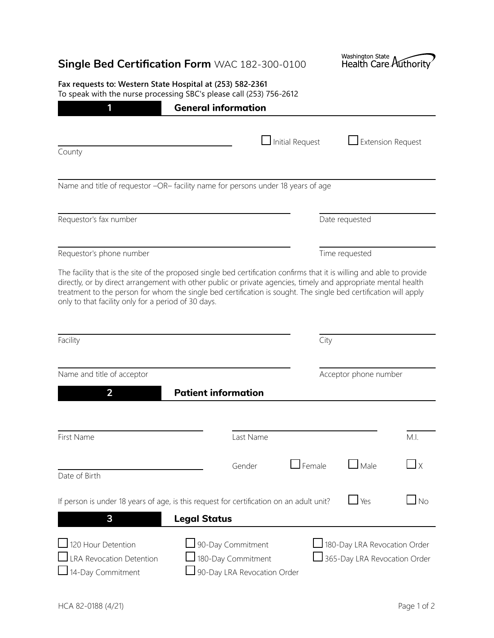| <b>Single Bed Certification Form WAC 182-300-0100</b>                                                                                                                                                                                                                                                                                                                                                               | Washington State<br>Health Care Authority                    |                       |  |
|---------------------------------------------------------------------------------------------------------------------------------------------------------------------------------------------------------------------------------------------------------------------------------------------------------------------------------------------------------------------------------------------------------------------|--------------------------------------------------------------|-----------------------|--|
| Fax requests to: Western State Hospital at (253) 582-2361<br>To speak with the nurse processing SBC's please call (253) 756-2612                                                                                                                                                                                                                                                                                    |                                                              |                       |  |
| <b>General information</b><br>1                                                                                                                                                                                                                                                                                                                                                                                     |                                                              |                       |  |
|                                                                                                                                                                                                                                                                                                                                                                                                                     | Initial Request<br>$\Box$ Extension Request                  |                       |  |
| County                                                                                                                                                                                                                                                                                                                                                                                                              |                                                              |                       |  |
| Name and title of requestor -OR- facility name for persons under 18 years of age                                                                                                                                                                                                                                                                                                                                    |                                                              |                       |  |
| Requestor's fax number                                                                                                                                                                                                                                                                                                                                                                                              | Date requested                                               |                       |  |
| Requestor's phone number                                                                                                                                                                                                                                                                                                                                                                                            | Time requested                                               |                       |  |
| The facility that is the site of the proposed single bed certification confirms that it is willing and able to provide<br>directly, or by direct arrangement with other public or private agencies, timely and appropriate mental health<br>treatment to the person for whom the single bed certification is sought. The single bed certification will apply<br>only to that facility only for a period of 30 days. |                                                              |                       |  |
| Facility                                                                                                                                                                                                                                                                                                                                                                                                            | City                                                         |                       |  |
| Name and title of acceptor                                                                                                                                                                                                                                                                                                                                                                                          |                                                              | Acceptor phone number |  |
| $\overline{2}$<br><b>Patient information</b>                                                                                                                                                                                                                                                                                                                                                                        |                                                              |                       |  |
|                                                                                                                                                                                                                                                                                                                                                                                                                     |                                                              |                       |  |
| First Name<br>Last Name                                                                                                                                                                                                                                                                                                                                                                                             |                                                              | M.I.                  |  |
| Gender<br>Date of Birth                                                                                                                                                                                                                                                                                                                                                                                             | $\exists$ Female<br>$\Box$ Male                              | $\Box$ $\times$       |  |
| If person is under 18 years of age, is this request for certification on an adult unit?<br>3<br><b>Legal Status</b>                                                                                                                                                                                                                                                                                                 | $\mathsf{\underline{I}}$ Yes                                 | <b>No</b>             |  |
| 120 Hour Detention<br>90-Day Commitment<br>180-Day Commitment<br><b>LRA Revocation Detention</b><br>14-Day Commitment<br>90-Day LRA Revocation Order                                                                                                                                                                                                                                                                | 180-Day LRA Revocation Order<br>365-Day LRA Revocation Order |                       |  |